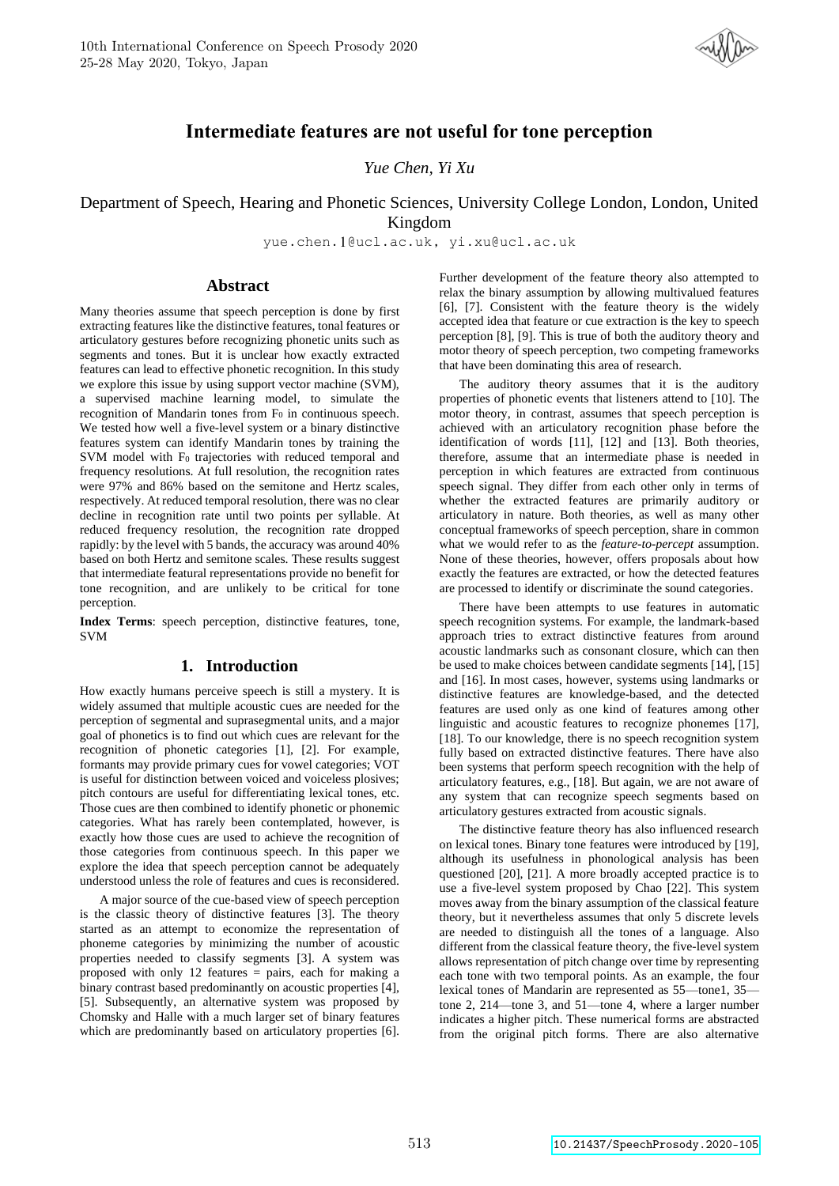

# **Intermediate features are not useful for tone perception**

*Yue Chen, Yi Xu*

# Department of Speech, Hearing and Phonetic Sciences, University College London, London, United Kingdom

yue.chen.1@ucl.ac.uk, yi.xu@ucl.ac.uk

# **Abstract**

Many theories assume that speech perception is done by first extracting features like the distinctive features, tonal features or articulatory gestures before recognizing phonetic units such as segments and tones. But it is unclear how exactly extracted features can lead to effective phonetic recognition. In this study we explore this issue by using support vector machine (SVM), a supervised machine learning model, to simulate the recognition of Mandarin tones from F<sub>0</sub> in continuous speech. We tested how well a five-level system or a binary distinctive features system can identify Mandarin tones by training the SVM model with F<sub>0</sub> trajectories with reduced temporal and frequency resolutions. At full resolution, the recognition rates were 97% and 86% based on the semitone and Hertz scales, respectively. At reduced temporal resolution, there was no clear decline in recognition rate until two points per syllable. At reduced frequency resolution, the recognition rate dropped rapidly: by the level with 5 bands, the accuracy was around 40% based on both Hertz and semitone scales. These results suggest that intermediate featural representations provide no benefit for tone recognition, and are unlikely to be critical for tone perception.

**Index Terms**: speech perception, distinctive features, tone, SVM

# **1. Introduction**

How exactly humans perceive speech is still a mystery. It is widely assumed that multiple acoustic cues are needed for the perception of segmental and suprasegmental units, and a major goal of phonetics is to find out which cues are relevant for the recognition of phonetic categories [1], [2]. For example, formants may provide primary cues for vowel categories; VOT is useful for distinction between voiced and voiceless plosives; pitch contours are useful for differentiating lexical tones, etc. Those cues are then combined to identify phonetic or phonemic categories. What has rarely been contemplated, however, is exactly how those cues are used to achieve the recognition of those categories from continuous speech. In this paper we explore the idea that speech perception cannot be adequately understood unless the role of features and cues is reconsidered.

A major source of the cue-based view of speech perception is the classic theory of distinctive features [3]. The theory started as an attempt to economize the representation of phoneme categories by minimizing the number of acoustic properties needed to classify segments [3]. A system was proposed with only 12 features = pairs, each for making a binary contrast based predominantly on acoustic properties [4], [5]. Subsequently, an alternative system was proposed by Chomsky and Halle with a much larger set of binary features which are predominantly based on articulatory properties [6]. Further development of the feature theory also attempted to relax the binary assumption by allowing multivalued features [6], [7]. Consistent with the feature theory is the widely accepted idea that feature or cue extraction is the key to speech perception [8], [9]. This is true of both the auditory theory and motor theory of speech perception, two competing frameworks that have been dominating this area of research.

The auditory theory assumes that it is the auditory properties of phonetic events that listeners attend to [10]. The motor theory, in contrast, assumes that speech perception is achieved with an articulatory recognition phase before the identification of words [11], [12] and [13]. Both theories, therefore, assume that an intermediate phase is needed in perception in which features are extracted from continuous speech signal. They differ from each other only in terms of whether the extracted features are primarily auditory or articulatory in nature. Both theories, as well as many other conceptual frameworks of speech perception, share in common what we would refer to as the *feature-to-percept* assumption. None of these theories, however, offers proposals about how exactly the features are extracted, or how the detected features are processed to identify or discriminate the sound categories.

There have been attempts to use features in automatic speech recognition systems. For example, the landmark-based approach tries to extract distinctive features from around acoustic landmarks such as consonant closure, which can then be used to make choices between candidate segments [14], [15] and [16]. In most cases, however, systems using landmarks or distinctive features are knowledge-based, and the detected features are used only as one kind of features among other linguistic and acoustic features to recognize phonemes [17], [18]. To our knowledge, there is no speech recognition system fully based on extracted distinctive features. There have also been systems that perform speech recognition with the help of articulatory features, e.g., [18]. But again, we are not aware of any system that can recognize speech segments based on articulatory gestures extracted from acoustic signals.

The distinctive feature theory has also influenced research on lexical tones. Binary tone features were introduced by [19], although its usefulness in phonological analysis has been questioned [20], [21]. A more broadly accepted practice is to use a five-level system proposed by Chao [22]. This system moves away from the binary assumption of the classical feature theory, but it nevertheless assumes that only 5 discrete levels are needed to distinguish all the tones of a language. Also different from the classical feature theory, the five-level system allows representation of pitch change over time by representing each tone with two temporal points. As an example, the four lexical tones of Mandarin are represented as 55—tone1, 35 tone 2, 214—tone 3, and 51—tone 4, where a larger number indicates a higher pitch. These numerical forms are abstracted from the original pitch forms. There are also alternative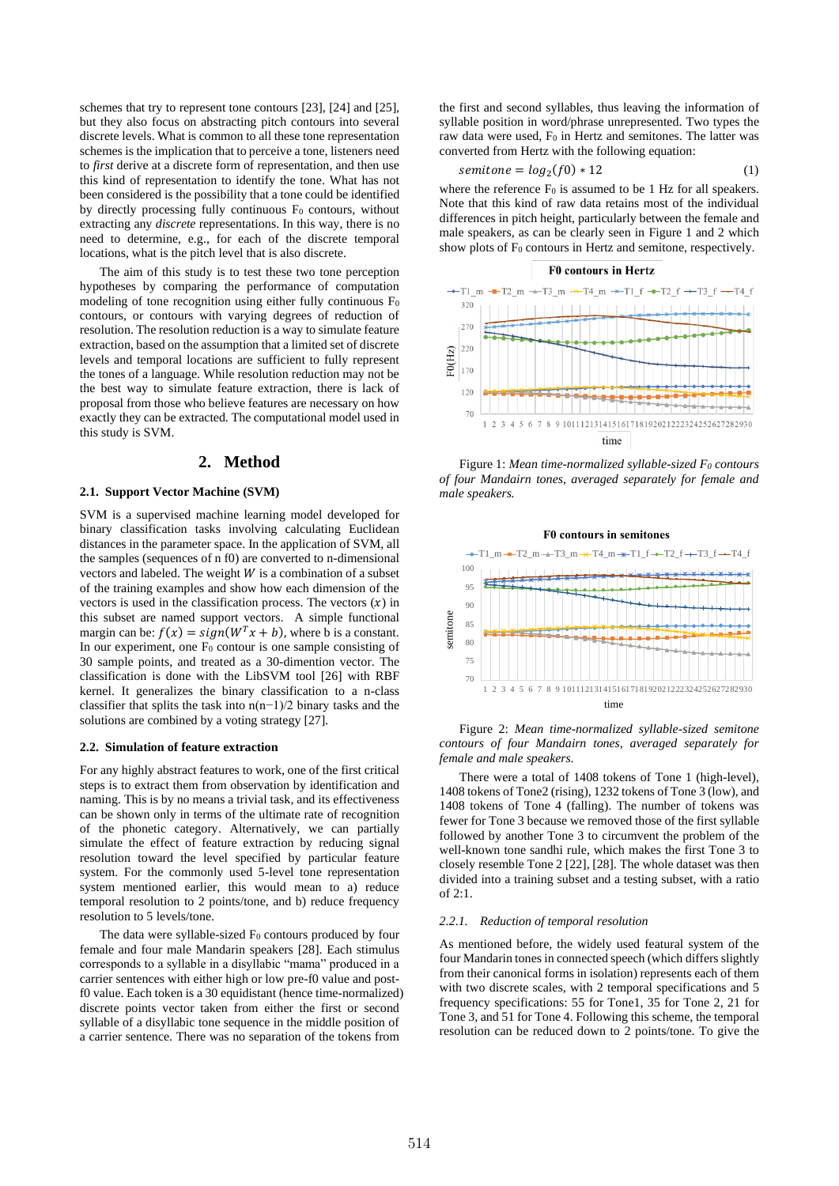schemes that try to represent tone contours [23], [24] and [25], but they also focus on abstracting pitch contours into several discrete levels. What is common to all these tone representation schemes is the implication that to perceive a tone, listeners need to *first* derive at a discrete form of representation, and then use this kind of representation to identify the tone. What has not been considered is the possibility that a tone could be identified by directly processing fully continuous  $F_0$  contours, without extracting any *discrete* representations. In this way, there is no need to determine, e.g., for each of the discrete temporal locations, what is the pitch level that is also discrete.

The aim of this study is to test these two tone perception hypotheses by comparing the performance of computation modeling of tone recognition using either fully continuous  $F_0$ contours, or contours with varying degrees of reduction of resolution. The resolution reduction is a way to simulate feature extraction, based on the assumption that a limited set of discrete levels and temporal locations are sufficient to fully represent the tones of a language. While resolution reduction may not be the best way to simulate feature extraction, there is lack of proposal from those who believe features are necessary on how exactly they can be extracted. The computational model used in this study is SVM.

## **2. Method**

### **2.1. Support Vector Machine (SVM)**

SVM is a supervised machine learning model developed for binary classification tasks involving calculating Euclidean distances in the parameter space. In the application of SVM, all the samples (sequences of n f0) are converted to n-dimensional vectors and labeled. The weight  $W$  is a combination of a subset of the training examples and show how each dimension of the vectors is used in the classification process. The vectors  $(x)$  in this subset are named support vectors. A simple functional margin can be:  $f(x) = sign(W^T x + b)$ , where b is a constant. In our experiment, one  $F_0$  contour is one sample consisting of 30 sample points, and treated as a 30-dimention vector. The classification is done with the LibSVM tool [26] with RBF kernel. It generalizes the binary classification to a n-class classifier that splits the task into n(n−1)/2 binary tasks and the solutions are combined by a voting strategy [27].

## **2.2. Simulation of feature extraction**

For any highly abstract features to work, one of the first critical steps is to extract them from observation by identification and naming. This is by no means a trivial task, and its effectiveness can be shown only in terms of the ultimate rate of recognition of the phonetic category. Alternatively, we can partially simulate the effect of feature extraction by reducing signal resolution toward the level specified by particular feature system. For the commonly used 5-level tone representation system mentioned earlier, this would mean to a) reduce temporal resolution to 2 points/tone, and b) reduce frequency resolution to 5 levels/tone.

The data were syllable-sized F<sub>0</sub> contours produced by four female and four male Mandarin speakers [28]. Each stimulus corresponds to a syllable in a disyllabic "mama" produced in a carrier sentences with either high or low pre-f0 value and postf0 value. Each token is a 30 equidistant (hence time-normalized) discrete points vector taken from either the first or second syllable of a disyllabic tone sequence in the middle position of a carrier sentence. There was no separation of the tokens from

the first and second syllables, thus leaving the information of syllable position in word/phrase unrepresented. Two types the raw data were used,  $F_0$  in Hertz and semitones. The latter was converted from Hertz with the following equation:

$$
semitone = log2(f0) * 12
$$
 (1)

where the reference  $F_0$  is assumed to be 1 Hz for all speakers. Note that this kind of raw data retains most of the individual differences in pitch height, particularly between the female and male speakers, as can be clearly seen in Figure 1 and 2 which show plots of  $F_0$  contours in Hertz and semitone, respectively.

#### **F0** contours in Hertz  $-$ -T2 m  $\pm$ T3 m  $\pm$ T4 m  $\pm$ T1 f  $\pm$ T2 f  $\pm$ T3 f  $-TA$  +  $-T1$  m  $320$  $270$  $22($ F<sub>0</sub>(Hz)  $170$  $120$ a a a a 70 1 2 3 4 5 6 7 8 9 101112131415161718192021222324252627282930 time

Figure 1: *Mean time-normalized syllable-sized F<sup>0</sup> contours of four Mandairn tones, averaged separately for female and male speakers.*





There were a total of 1408 tokens of Tone 1 (high-level), 1408 tokens of Tone2 (rising), 1232 tokens of Tone 3 (low), and 1408 tokens of Tone 4 (falling). The number of tokens was fewer for Tone 3 because we removed those of the first syllable followed by another Tone 3 to circumvent the problem of the well-known tone sandhi rule, which makes the first Tone 3 to closely resemble Tone 2 [22], [28]. The whole dataset was then divided into a training subset and a testing subset, with a ratio of 2:1.

#### *2.2.1. Reduction of temporal resolution*

As mentioned before, the widely used featural system of the four Mandarin tones in connected speech (which differs slightly from their canonical forms in isolation) represents each of them with two discrete scales, with 2 temporal specifications and 5 frequency specifications: 55 for Tone1, 35 for Tone 2, 21 for Tone 3, and 51 for Tone 4. Following this scheme, the temporal resolution can be reduced down to 2 points/tone. To give the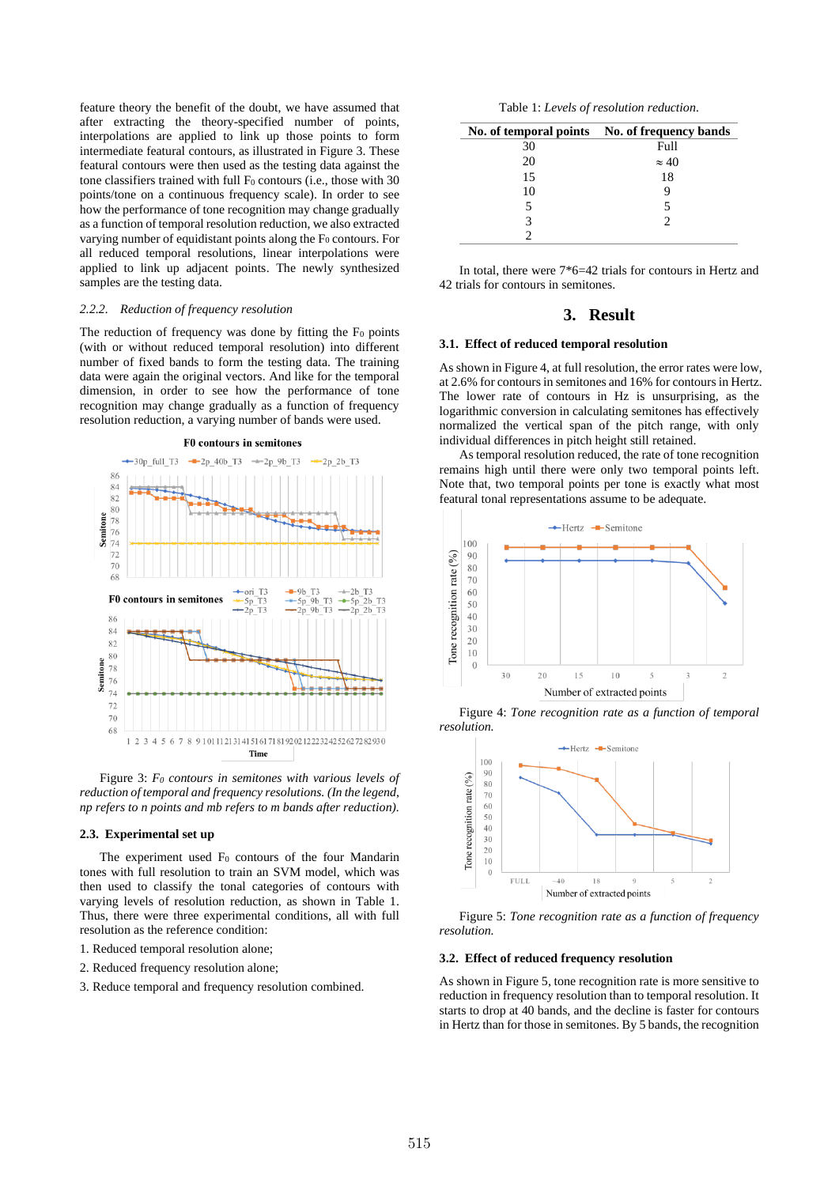feature theory the benefit of the doubt, we have assumed that after extracting the theory-specified number of points, interpolations are applied to link up those points to form intermediate featural contours, as illustrated in Figure 3. These featural contours were then used as the testing data against the tone classifiers trained with full  $F_0$  contours (i.e., those with 30 points/tone on a continuous frequency scale). In order to see how the performance of tone recognition may change gradually as a function of temporal resolution reduction, we also extracted varying number of equidistant points along the F<sub>0</sub> contours. For all reduced temporal resolutions, linear interpolations were applied to link up adjacent points. The newly synthesized samples are the testing data.

#### *2.2.2. Reduction of frequency resolution*

The reduction of frequency was done by fitting the  $F_0$  points (with or without reduced temporal resolution) into different number of fixed bands to form the testing data. The training data were again the original vectors. And like for the temporal dimension, in order to see how the performance of tone recognition may change gradually as a function of frequency resolution reduction, a varying number of bands were used.



Figure 3: *F<sup>0</sup> contours in semitones with various levels of reduction of temporal and frequency resolutions. (In the legend, np refers to n points and mb refers to m bands after reduction).*

#### **2.3. Experimental set up**

The experiment used  $F_0$  contours of the four Mandarin tones with full resolution to train an SVM model, which was then used to classify the tonal categories of contours with varying levels of resolution reduction, as shown in Table 1. Thus, there were three experimental conditions, all with full resolution as the reference condition:

- 1. Reduced temporal resolution alone;
- 2. Reduced frequency resolution alone;
- 3. Reduce temporal and frequency resolution combined.

Table 1: *Levels of resolution reduction.*

|    | No. of temporal points No. of frequency bands |
|----|-----------------------------------------------|
| 30 | Full                                          |
| 20 | $\approx 40$                                  |
| 15 | 18                                            |
| 10 |                                               |
| 5  | 5                                             |
|    |                                               |
|    |                                               |

In total, there were 7\*6=42 trials for contours in Hertz and 42 trials for contours in semitones.

# **3. Result**

### **3.1. Effect of reduced temporal resolution**

As shown in Figure 4, at full resolution, the error rates were low, at 2.6% for contours in semitones and 16% for contoursin Hertz. The lower rate of contours in Hz is unsurprising, as the logarithmic conversion in calculating semitones has effectively normalized the vertical span of the pitch range, with only individual differences in pitch height still retained.

As temporal resolution reduced, the rate of tone recognition remains high until there were only two temporal points left. Note that, two temporal points per tone is exactly what most featural tonal representations assume to be adequate.



Figure 4: *Tone recognition rate as a function of temporal resolution.*



Figure 5: *Tone recognition rate as a function of frequency resolution.*

#### **3.2. Effect of reduced frequency resolution**

As shown in Figure 5, tone recognition rate is more sensitive to reduction in frequency resolution than to temporal resolution. It starts to drop at 40 bands, and the decline is faster for contours in Hertz than for those in semitones. By 5 bands, the recognition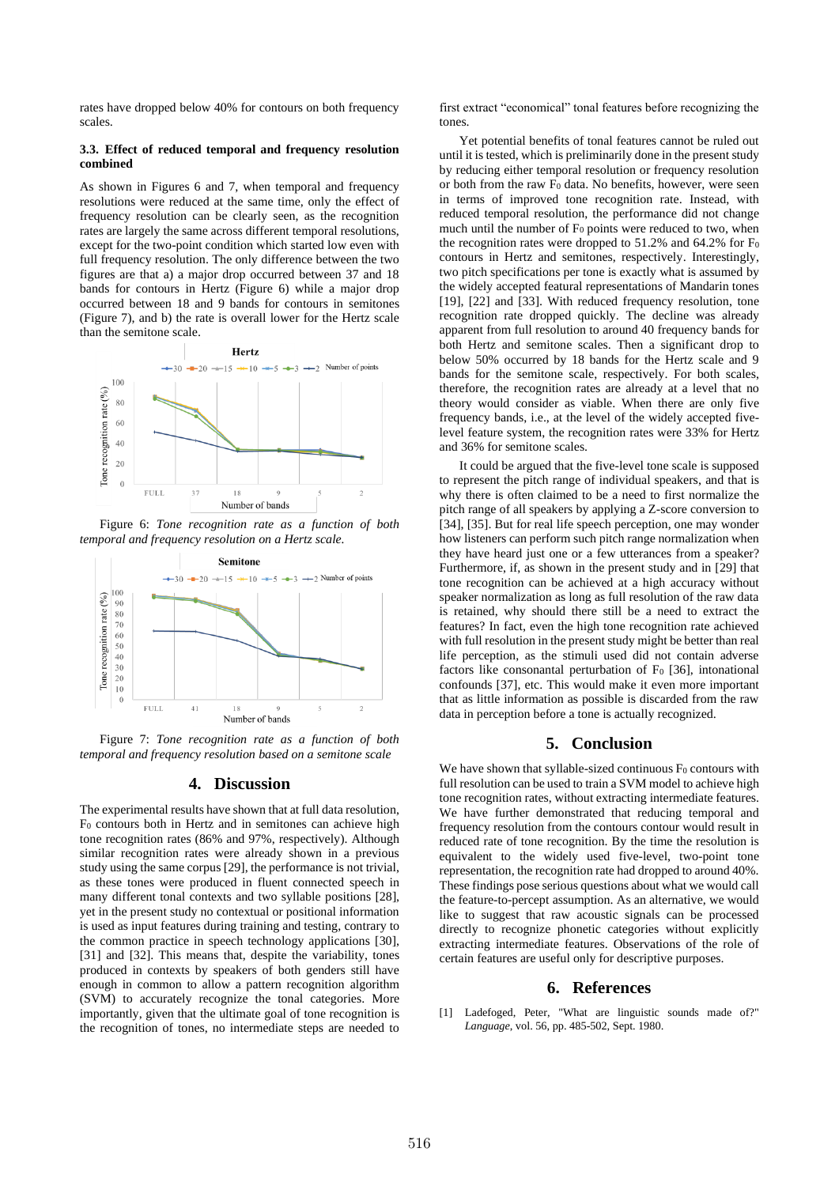rates have dropped below 40% for contours on both frequency scales.

### **3.3. Effect of reduced temporal and frequency resolution combined**

As shown in Figures 6 and 7, when temporal and frequency resolutions were reduced at the same time, only the effect of frequency resolution can be clearly seen, as the recognition rates are largely the same across different temporal resolutions, except for the two-point condition which started low even with full frequency resolution. The only difference between the two figures are that a) a major drop occurred between 37 and 18 bands for contours in Hertz (Figure 6) while a major drop occurred between 18 and 9 bands for contours in semitones (Figure 7), and b) the rate is overall lower for the Hertz scale than the semitone scale.



Figure 6: *Tone recognition rate as a function of both temporal and frequency resolution on a Hertz scale.*



Figure 7: *Tone recognition rate as a function of both temporal and frequency resolution based on a semitone scale*

## **4. Discussion**

The experimental results have shown that at full data resolution, F<sup>0</sup> contours both in Hertz and in semitones can achieve high tone recognition rates (86% and 97%, respectively). Although similar recognition rates were already shown in a previous study using the same corpus [29], the performance is not trivial, as these tones were produced in fluent connected speech in many different tonal contexts and two syllable positions [28], yet in the present study no contextual or positional information is used as input features during training and testing, contrary to the common practice in speech technology applications [30], [31] and [32]. This means that, despite the variability, tones produced in contexts by speakers of both genders still have enough in common to allow a pattern recognition algorithm (SVM) to accurately recognize the tonal categories. More importantly, given that the ultimate goal of tone recognition is the recognition of tones, no intermediate steps are needed to first extract "economical" tonal features before recognizing the tones.

Yet potential benefits of tonal features cannot be ruled out until it is tested, which is preliminarily done in the present study by reducing either temporal resolution or frequency resolution or both from the raw  $F_0$  data. No benefits, however, were seen in terms of improved tone recognition rate. Instead, with reduced temporal resolution, the performance did not change much until the number of  $F_0$  points were reduced to two, when the recognition rates were dropped to  $51.2\%$  and  $64.2\%$  for F<sub>0</sub> contours in Hertz and semitones, respectively. Interestingly, two pitch specifications per tone is exactly what is assumed by the widely accepted featural representations of Mandarin tones [19], [22] and [33]. With reduced frequency resolution, tone recognition rate dropped quickly. The decline was already apparent from full resolution to around 40 frequency bands for both Hertz and semitone scales. Then a significant drop to below 50% occurred by 18 bands for the Hertz scale and 9 bands for the semitone scale, respectively. For both scales, therefore, the recognition rates are already at a level that no theory would consider as viable. When there are only five frequency bands, i.e., at the level of the widely accepted fivelevel feature system, the recognition rates were 33% for Hertz and 36% for semitone scales.

It could be argued that the five-level tone scale is supposed to represent the pitch range of individual speakers, and that is why there is often claimed to be a need to first normalize the pitch range of all speakers by applying a Z-score conversion to [34], [35]. But for real life speech perception, one may wonder how listeners can perform such pitch range normalization when they have heard just one or a few utterances from a speaker? Furthermore, if, as shown in the present study and in [29] that tone recognition can be achieved at a high accuracy without speaker normalization as long as full resolution of the raw data is retained, why should there still be a need to extract the features? In fact, even the high tone recognition rate achieved with full resolution in the present study might be better than real life perception, as the stimuli used did not contain adverse factors like consonantal perturbation of  $F_0$  [36], intonational confounds [37], etc. This would make it even more important that as little information as possible is discarded from the raw data in perception before a tone is actually recognized.

# **5. Conclusion**

We have shown that syllable-sized continuous  $F_0$  contours with full resolution can be used to train a SVM model to achieve high tone recognition rates, without extracting intermediate features. We have further demonstrated that reducing temporal and frequency resolution from the contours contour would result in reduced rate of tone recognition. By the time the resolution is equivalent to the widely used five-level, two-point tone representation, the recognition rate had dropped to around 40%. These findings pose serious questions about what we would call the feature-to-percept assumption. As an alternative, we would like to suggest that raw acoustic signals can be processed directly to recognize phonetic categories without explicitly extracting intermediate features. Observations of the role of certain features are useful only for descriptive purposes.

## **6. References**

[1] Ladefoged, Peter, "What are linguistic sounds made of?" *Language*, vol. 56, pp. 485-502, Sept. 1980.